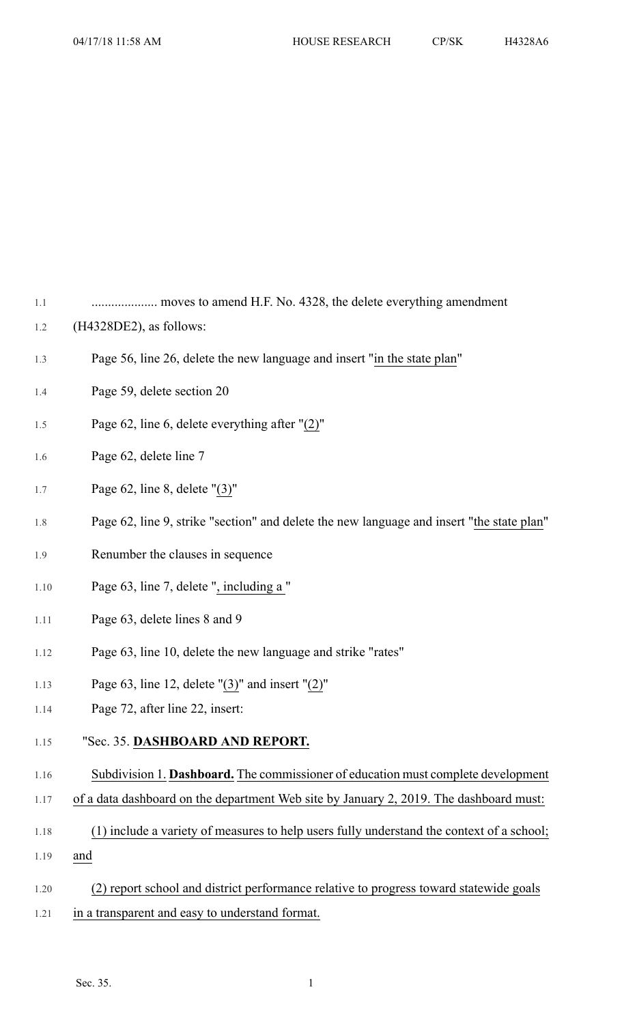1.1 .................... moves to amend H.F. No. 4328, the delete everything amendment

- 1.2 (H4328DE2), as follows:
- 1.3 Page 56, line 26, delete the new language and insert "in the state plan"
- 1.4 Page 59, delete section 20
- 1.5 Page 62, line 6, delete everything after "(2)"
- 1.6 Page 62, delete line 7
- 1.7 Page 62, line 8, delete "(3)"
- 1.8 Page 62, line 9, strike "section" and delete the new language and insert "the state plan"
- 1.9 Renumber the clauses in sequence
- 1.10 Page 63, line 7, delete ", including a "
- 1.11 Page 63, delete lines 8 and 9
- 1.12 Page 63, line 10, delete the new language and strike "rates"
- 1.13 Page 63, line 12, delete "(3)" and insert "(2)"
- 1.14 Page 72, after line 22, insert:
- 1.15 "Sec. 35. **DASHBOARD AND REPORT.**
- 1.16 Subdivision 1. **Dashboard.** The commissioner of education must complete development
- 1.17 of a data dashboard on the department Web site by January 2, 2019. The dashboard must:
- 1.18 (1) include a variety of measures to help users fully understand the context of a school; 1.19 and
- 1.20 (2) report school and district performance relative to progress toward statewide goals
- 1.21 in a transparent and easy to understand format.